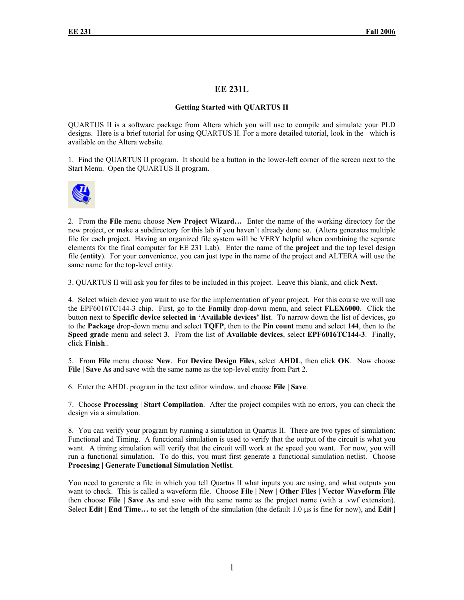## **EE 231L**

## **Getting Started with QUARTUS II**

QUARTUS II is a software package from Altera which you will use to compile and simulate your PLD designs. Here is a brief tutorial for using QUARTUS II. For a more detailed tutorial, look in the which is available on the Altera website.

1. Find the QUARTUS II program. It should be a button in the lower-left corner of the screen next to the Start Menu. Open the QUARTUS II program.



2. From the **File** menu choose **New Project Wizard…** Enter the name of the working directory for the new project, or make a subdirectory for this lab if you haven't already done so. (Altera generates multiple file for each project. Having an organized file system will be VERY helpful when combining the separate elements for the final computer for EE 231 Lab). Enter the name of the **project** and the top level design file (**entity**). For your convenience, you can just type in the name of the project and ALTERA will use the same name for the top-level entity.

3. QUARTUS II will ask you for files to be included in this project. Leave this blank, and click **Next.** 

4. Select which device you want to use for the implementation of your project. For this course we will use the EPF6016TC144-3 chip. First, go to the **Family** drop-down menu, and select **FLEX6000**. Click the button next to **Specific device selected in 'Available devices' list**. To narrow down the list of devices, go to the **Package** drop-down menu and select **TQFP**, then to the **Pin count** menu and select **144**, then to the **Speed grade** menu and select **3**. From the list of **Available devices**, select **EPF6016TC144-3**. Finally, click **Finish**..

5. From **File** menu choose **New**. For **Device Design Files**, select **AHDL**, then click **OK**. Now choose **File | Save As and save with the same name as the top-level entity from Part 2.** 

6. Enter the AHDL program in the text editor window, and choose **File | Save**.

7. Choose **Processing | Start Compilation**. After the project compiles with no errors, you can check the design via a simulation.

8. You can verify your program by running a simulation in Quartus II. There are two types of simulation: Functional and Timing. A functional simulation is used to verify that the output of the circuit is what you want. A timing simulation will verify that the circuit will work at the speed you want. For now, you will run a functional simulation. To do this, you must first generate a functional simulation netlist. Choose **Procesing | Generate Functional Simulation Netlist**.

You need to generate a file in which you tell Quartus II what inputs you are using, and what outputs you want to check. This is called a waveform file. Choose **File | New | Other Files | Vector Waveform File** then choose **File | Save As** and save with the same name as the project name (with a .vwf extension). Select **Edit** | **End Time...** to set the length of the simulation (the default 1.0 µs is fine for now), and **Edit** |